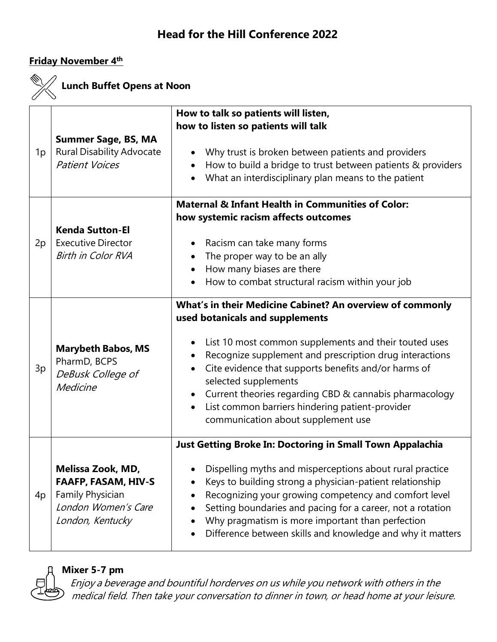#### **Friday November 4 th**



# **Lunch Buffet Opens at Noon**

| 1p | <b>Summer Sage, BS, MA</b><br><b>Rural Disability Advocate</b><br><b>Patient Voices</b>                        | How to talk so patients will listen,<br>how to listen so patients will talk<br>Why trust is broken between patients and providers<br>How to build a bridge to trust between patients & providers<br>$\bullet$<br>What an interdisciplinary plan means to the patient                                                                                                                                                                                                                                    |
|----|----------------------------------------------------------------------------------------------------------------|---------------------------------------------------------------------------------------------------------------------------------------------------------------------------------------------------------------------------------------------------------------------------------------------------------------------------------------------------------------------------------------------------------------------------------------------------------------------------------------------------------|
| 2p | <b>Kenda Sutton-El</b><br><b>Executive Director</b><br><b>Birth in Color RVA</b>                               | <b>Maternal &amp; Infant Health in Communities of Color:</b><br>how systemic racism affects outcomes<br>Racism can take many forms<br>The proper way to be an ally<br>How many biases are there<br>How to combat structural racism within your job                                                                                                                                                                                                                                                      |
| 3p | <b>Marybeth Babos, MS</b><br>PharmD, BCPS<br>DeBusk College of<br>Medicine                                     | What's in their Medicine Cabinet? An overview of commonly<br>used botanicals and supplements<br>List 10 most common supplements and their touted uses<br>Recognize supplement and prescription drug interactions<br>$\bullet$<br>Cite evidence that supports benefits and/or harms of<br>$\bullet$<br>selected supplements<br>Current theories regarding CBD & cannabis pharmacology<br>$\bullet$<br>List common barriers hindering patient-provider<br>$\bullet$<br>communication about supplement use |
| 4p | Melissa Zook, MD,<br><b>FAAFP, FASAM, HIV-S</b><br>Family Physician<br>London Women's Care<br>London, Kentucky | Just Getting Broke In: Doctoring in Small Town Appalachia<br>Dispelling myths and misperceptions about rural practice<br>Keys to building strong a physician-patient relationship<br>Recognizing your growing competency and comfort level<br>Setting boundaries and pacing for a career, not a rotation<br>Why pragmatism is more important than perfection<br>Difference between skills and knowledge and why it matters                                                                              |



**Mixer 5-7 pm**

Enjoy <sup>a</sup> beverage and bountiful horderves on us while you network with others in the medical field. Then take your conversation to dinner in town, or head home at your leisure.